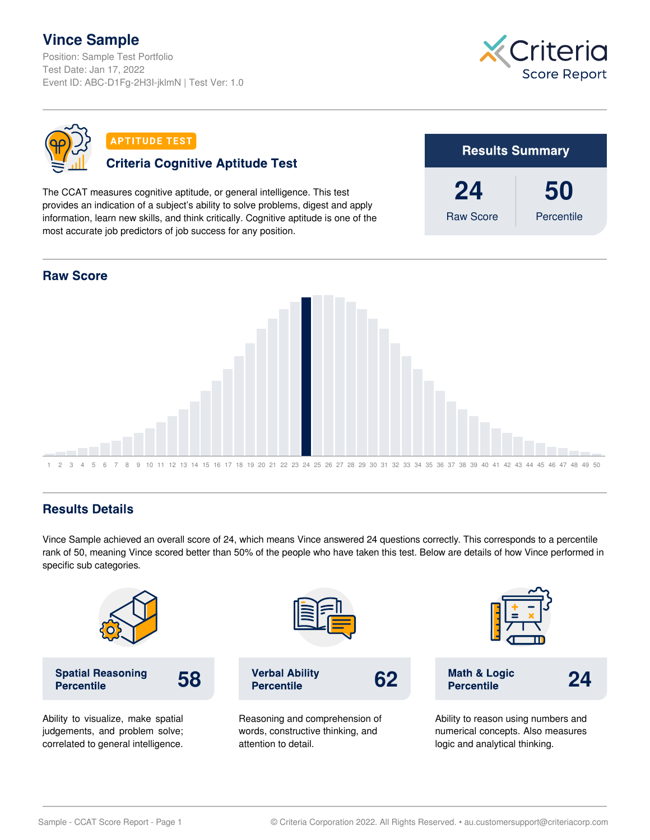## **Vince Sample**

Position: Sample Test Portfolio Test Date: Jan 17, 2022 Event ID: ABC-D1Fg-2H3I-jklmN | Test Ver: 1.0





**APTITUDE TEST** 

## **Criteria Cognitive Aptitude Test**

The CCAT measures cognitive aptitude, or general intelligence. This test provides an indication of a subject's ability to solve problems, digest and apply information, learn new skills, and think critically. Cognitive aptitude is one of the most accurate job predictors of job success for any position.





## **Results Details**

Vince Sample achieved an overall score of 24, which means Vince answered 24 questions correctly. This corresponds to a percentile rank of 50, meaning Vince scored better than 50% of the people who have taken this test. Below are details of how Vince performed in specific sub categories.